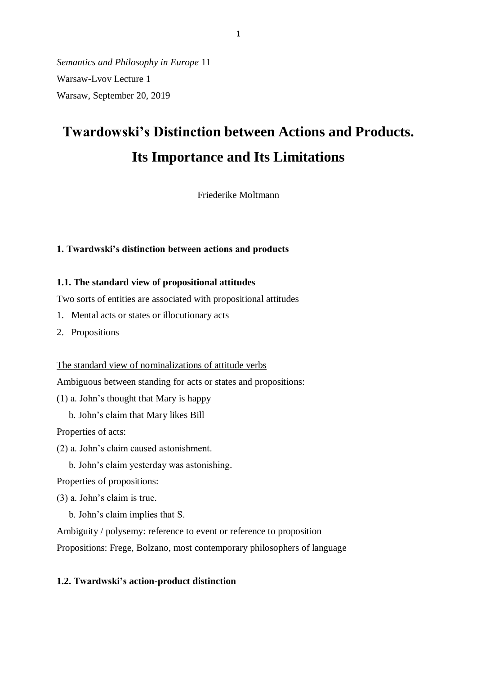*Semantics and Philosophy in Europe* 11 Warsaw-Lvov Lecture 1 Warsaw, September 20, 2019

# **Twardowski's Distinction between Actions and Products. Its Importance and Its Limitations**

Friederike Moltmann

#### **1. Twardwski's distinction between actions and products**

#### **1.1. The standard view of propositional attitudes**

Two sorts of entities are associated with propositional attitudes

- 1. Mental acts or states or illocutionary acts
- 2. Propositions

The standard view of nominalizations of attitude verbs

Ambiguous between standing for acts or states and propositions:

(1) a. John's thought that Mary is happy

b. John's claim that Mary likes Bill

Properties of acts:

- (2) a. John's claim caused astonishment.
	- b. John's claim yesterday was astonishing.

Properties of propositions:

(3) a. John's claim is true.

b. John's claim implies that S.

Ambiguity / polysemy: reference to event or reference to proposition

Propositions: Frege, Bolzano, most contemporary philosophers of language

#### **1.2. Twardwski's action-product distinction**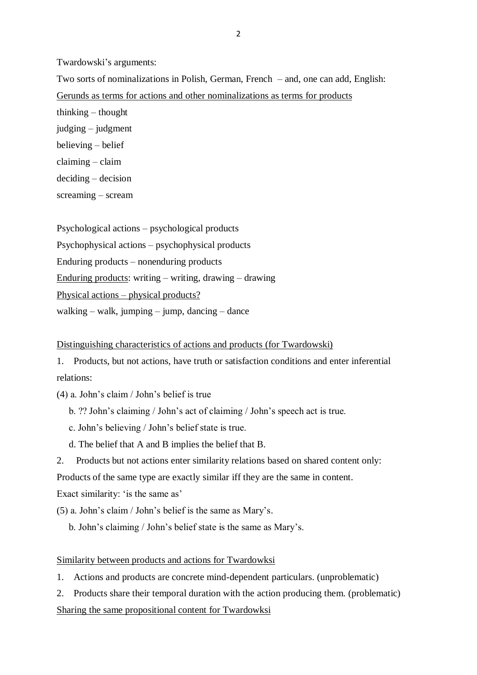Twardowski's arguments:

Two sorts of nominalizations in Polish, German, French – and, one can add, English: Gerunds as terms for actions and other nominalizations as terms for products thinking – thought judging – judgment believing – belief claiming – claim deciding – decision screaming – scream

Psychological actions – psychological products Psychophysical actions – psychophysical products Enduring products – nonenduring products Enduring products: writing – writing, drawing – drawing Physical actions – physical products? walking – walk, jumping – jump, dancing – dance

#### Distinguishing characteristics of actions and products (for Twardowski)

1. Products, but not actions, have truth or satisfaction conditions and enter inferential relations:

- (4) a. John's claim / John's belief is true
	- b. ?? John's claiming / John's act of claiming / John's speech act is true.
	- c. John's believing / John's belief state is true.
	- d. The belief that A and B implies the belief that B.
- 2. Products but not actions enter similarity relations based on shared content only:

Products of the same type are exactly similar iff they are the same in content.

Exact similarity: 'is the same as'

(5) a. John's claim / John's belief is the same as Mary's.

b. John's claiming / John's belief state is the same as Mary's.

#### Similarity between products and actions for Twardowksi

1. Actions and products are concrete mind-dependent particulars. (unproblematic)

2. Products share their temporal duration with the action producing them. (problematic) Sharing the same propositional content for Twardowksi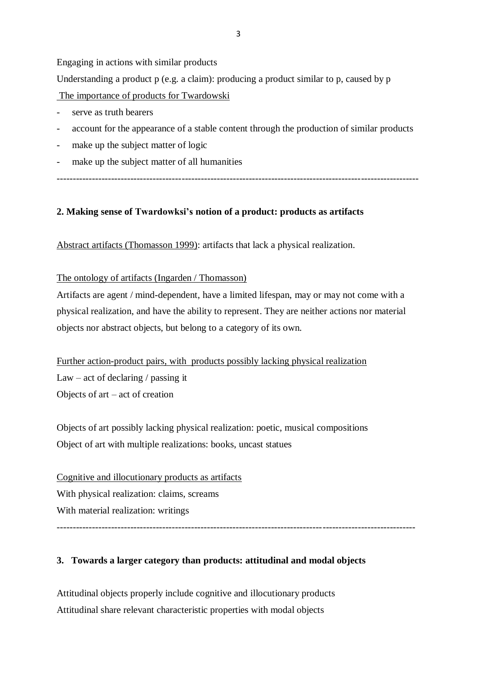Engaging in actions with similar products

Understanding a product p (e.g. a claim): producing a product similar to p, caused by p The importance of products for Twardowski

- serve as truth bearers
- account for the appearance of a stable content through the production of similar products
- make up the subject matter of logic
- make up the subject matter of all humanities
- -----------------------------------------------------------------------------------------------------------------

### **2. Making sense of Twardowksi's notion of a product: products as artifacts**

Abstract artifacts (Thomasson 1999): artifacts that lack a physical realization.

The ontology of artifacts (Ingarden / Thomasson)

Artifacts are agent / mind-dependent, have a limited lifespan, may or may not come with a physical realization, and have the ability to represent. They are neither actions nor material objects nor abstract objects, but belong to a category of its own.

Further action-product pairs, with products possibly lacking physical realization Law – act of declaring  $\prime$  passing it Objects of art – act of creation

Objects of art possibly lacking physical realization: poetic, musical compositions Object of art with multiple realizations: books, uncast statues

Cognitive and illocutionary products as artifacts With physical realization: claims, screams With material realization: writings ----------------------------------------------------------------------------------------------------------------

## **3. Towards a larger category than products: attitudinal and modal objects**

Attitudinal objects properly include cognitive and illocutionary products Attitudinal share relevant characteristic properties with modal objects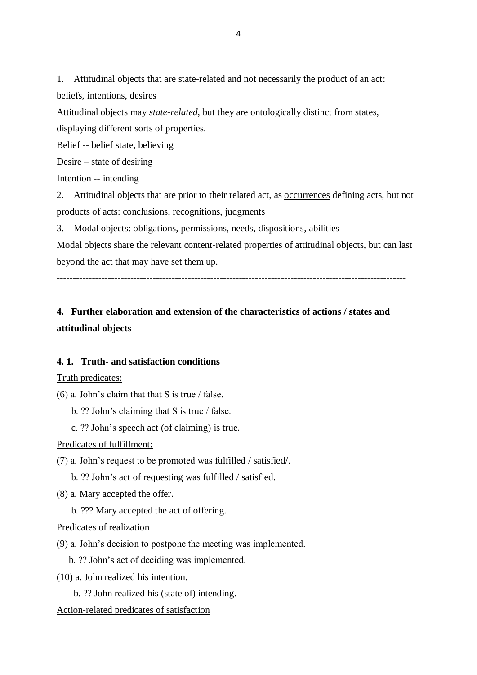1. Attitudinal objects that are state-related and not necessarily the product of an act: beliefs, intentions, desires

Attitudinal objects may *state-related*, but they are ontologically distinct from states, displaying different sorts of properties.

Belief -- belief state, believing

Desire – state of desiring

Intention -- intending

2. Attitudinal objects that are prior to their related act, as occurrences defining acts, but not products of acts: conclusions, recognitions, judgments

3. Modal objects: obligations, permissions, needs, dispositions, abilities

Modal objects share the relevant content-related properties of attitudinal objects, but can last beyond the act that may have set them up.

## **4. Further elaboration and extension of the characteristics of actions / states and attitudinal objects**

#### **4. 1. Truth- and satisfaction conditions**

#### Truth predicates:

(6) a. John's claim that that S is true / false.

b. ?? John's claiming that S is true / false.

c. ?? John's speech act (of claiming) is true.

Predicates of fulfillment:

(7) a. John's request to be promoted was fulfilled / satisfied/.

b. ?? John's act of requesting was fulfilled / satisfied.

(8) a. Mary accepted the offer.

b. ??? Mary accepted the act of offering.

Predicates of realization

(9) a. John's decision to postpone the meeting was implemented.

b. ?? John's act of deciding was implemented.

(10) a. John realized his intention.

b. ?? John realized his (state of) intending.

Action-related predicates of satisfaction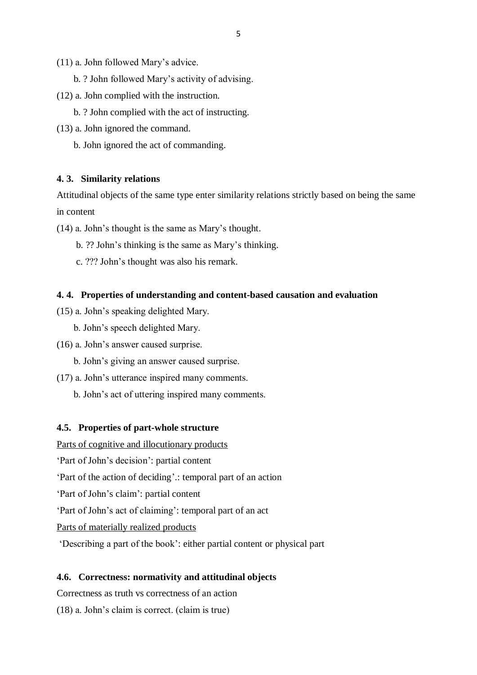- (11) a. John followed Mary's advice.
	- b. ? John followed Mary's activity of advising.
- (12) a. John complied with the instruction.
	- b. ? John complied with the act of instructing.
- (13) a. John ignored the command.

b. John ignored the act of commanding.

#### **4. 3. Similarity relations**

Attitudinal objects of the same type enter similarity relations strictly based on being the same in content

(14) a. John's thought is the same as Mary's thought.

- b. ?? John's thinking is the same as Mary's thinking.
- c. ??? John's thought was also his remark.

#### **4. 4. Properties of understanding and content-based causation and evaluation**

- (15) a. John's speaking delighted Mary.
	- b. John's speech delighted Mary.
- (16) a. John's answer caused surprise.
	- b. John's giving an answer caused surprise.
- (17) a. John's utterance inspired many comments.
	- b. John's act of uttering inspired many comments.

#### **4.5. Properties of part-whole structure**

Parts of cognitive and illocutionary products

'Part of John's decision': partial content

'Part of the action of deciding'.: temporal part of an action

'Part of John's claim': partial content

'Part of John's act of claiming': temporal part of an act

Parts of materially realized products

'Describing a part of the book': either partial content or physical part

#### **4.6. Correctness: normativity and attitudinal objects**

Correctness as truth vs correctness of an action

(18) a. John's claim is correct. (claim is true)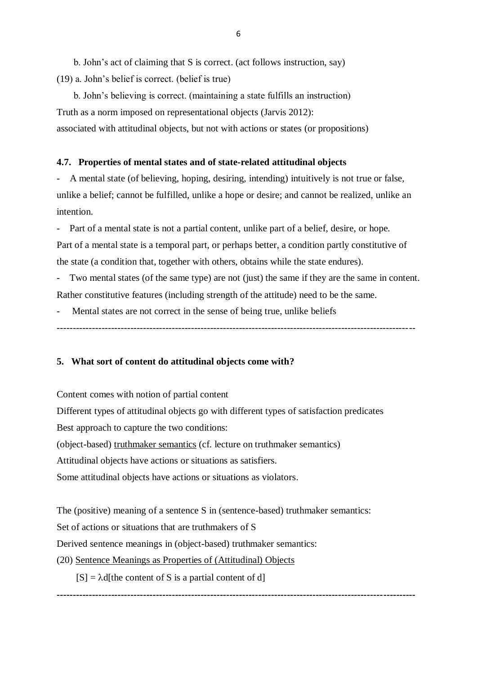b. John's act of claiming that S is correct. (act follows instruction, say) (19) a. John's belief is correct. (belief is true)

 b. John's believing is correct. (maintaining a state fulfills an instruction) Truth as a norm imposed on representational objects (Jarvis 2012): associated with attitudinal objects, but not with actions or states (or propositions)

#### **4.7. Properties of mental states and of state-related attitudinal objects**

- A mental state (of believing, hoping, desiring, intending) intuitively is not true or false, unlike a belief; cannot be fulfilled, unlike a hope or desire; and cannot be realized, unlike an intention.

Part of a mental state is not a partial content, unlike part of a belief, desire, or hope. Part of a mental state is a temporal part, or perhaps better, a condition partly constitutive of the state (a condition that, together with others, obtains while the state endures).

Two mental states (of the same type) are not (just) the same if they are the same in content. Rather constitutive features (including strength of the attitude) need to be the same.

Mental states are not correct in the sense of being true, unlike beliefs

----------------------------------------------------------------------------------------------------------------

#### **5. What sort of content do attitudinal objects come with?**

Content comes with notion of partial content

Different types of attitudinal objects go with different types of satisfaction predicates

Best approach to capture the two conditions:

(object-based) truthmaker semantics (cf. lecture on truthmaker semantics)

Attitudinal objects have actions or situations as satisfiers.

Some attitudinal objects have actions or situations as violators.

The (positive) meaning of a sentence S in (sentence-based) truthmaker semantics:

Set of actions or situations that are truthmakers of S

Derived sentence meanings in (object-based) truthmaker semantics:

#### (20) Sentence Meanings as Properties of (Attitudinal) Objects

 $[S] = \lambda d$  [the content of S is a partial content of d]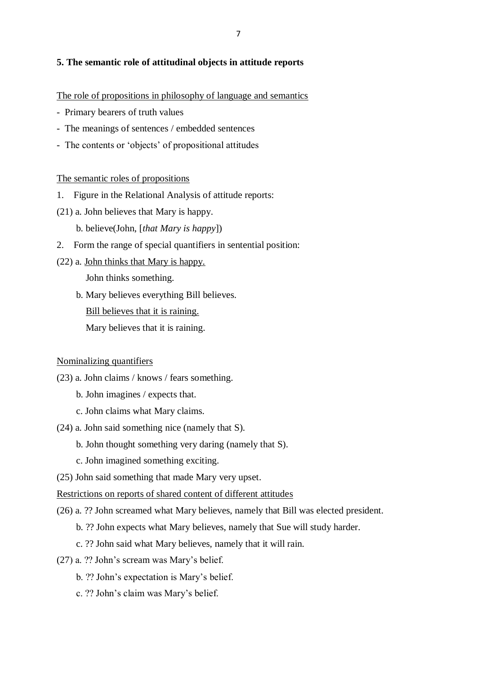#### **5. The semantic role of attitudinal objects in attitude reports**

The role of propositions in philosophy of language and semantics

- Primary bearers of truth values
- The meanings of sentences / embedded sentences
- The contents or 'objects' of propositional attitudes

#### The semantic roles of propositions

- 1. Figure in the Relational Analysis of attitude reports:
- (21) a. John believes that Mary is happy.
	- b. believe(John, [*that Mary is happy*])
- 2. Form the range of special quantifiers in sentential position:
- (22) a. John thinks that Mary is happy.

John thinks something.

 b. Mary believes everything Bill believes. Bill believes that it is raining.

Mary believes that it is raining.

#### Nominalizing quantifiers

- (23) a. John claims / knows / fears something.
	- b. John imagines / expects that.
	- c. John claims what Mary claims.
- (24) a. John said something nice (namely that S).
	- b. John thought something very daring (namely that S).
	- c. John imagined something exciting.
- (25) John said something that made Mary very upset.

#### Restrictions on reports of shared content of different attitudes

- (26) a. ?? John screamed what Mary believes, namely that Bill was elected president.
	- b. ?? John expects what Mary believes, namely that Sue will study harder.
	- c. ?? John said what Mary believes, namely that it will rain.
- (27) a. ?? John's scream was Mary's belief.
	- b. ?? John's expectation is Mary's belief.
	- c. ?? John's claim was Mary's belief.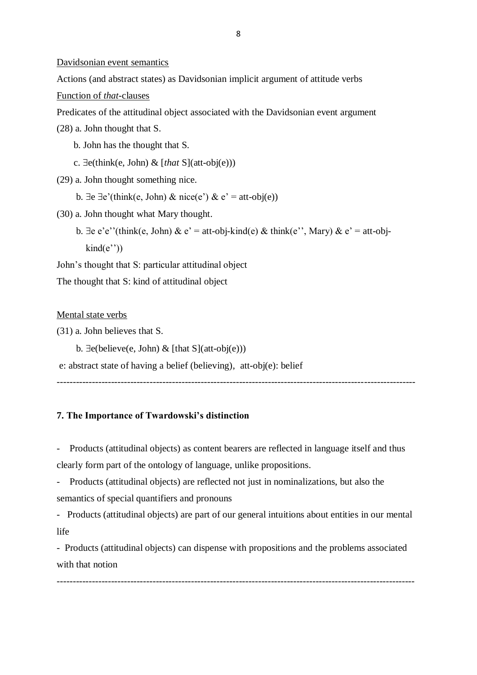Davidsonian event semantics

Actions (and abstract states) as Davidsonian implicit argument of attitude verbs

Function of *that*-clauses

Predicates of the attitudinal object associated with the Davidsonian event argument

(28) a. John thought that S.

b. John has the thought that S.

- c.  $\exists$ e(think(e, John) & [*that* S](att-obj(e)))
- (29) a. John thought something nice.
	- b.  $\exists e \exists e'$ (think(e, John) & nice(e') & e' = att-obj(e))
- (30) a. John thought what Mary thought.
	- b.  $\exists e \cdot e'$ '(think(e, John) &  $e' =$  att-obj-kind(e) & think(e'', Mary) &  $e' =$  att-obj $kind(e'')$

John's thought that S: particular attitudinal object

The thought that S: kind of attitudinal object

#### Mental state verbs

(31) a. John believes that S.

b.  $\exists$ e(believe(e, John) & [that S](att-obj(e)))

e: abstract state of having a belief (believing), att-obj(e): belief

----------------------------------------------------------------------------------------------------------------

#### **7. The Importance of Twardowski's distinction**

Products (attitudinal objects) as content bearers are reflected in language itself and thus clearly form part of the ontology of language, unlike propositions.

- Products (attitudinal objects) are reflected not just in nominalizations, but also the semantics of special quantifiers and pronouns

- Products (attitudinal objects) are part of our general intuitions about entities in our mental life

- Products (attitudinal objects) can dispense with propositions and the problems associated with that notion

----------------------------------------------------------------------------------------------------------------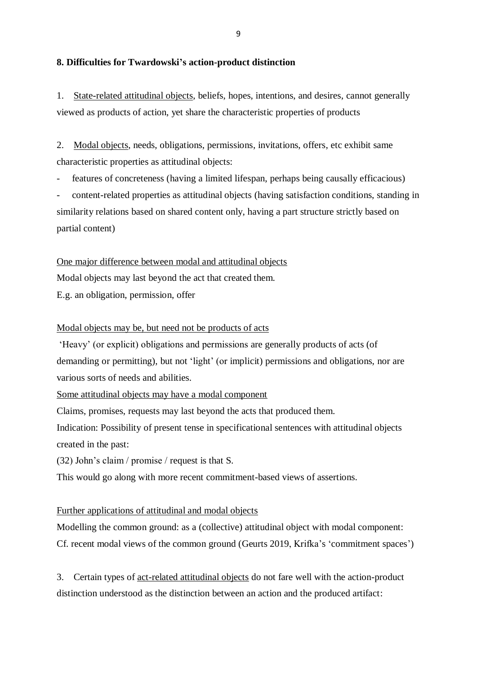#### **8. Difficulties for Twardowski's action-product distinction**

1. State-related attitudinal objects, beliefs, hopes, intentions, and desires, cannot generally viewed as products of action, yet share the characteristic properties of products

2. Modal objects, needs, obligations, permissions, invitations, offers, etc exhibit same characteristic properties as attitudinal objects:

features of concreteness (having a limited lifespan, perhaps being causally efficacious)

- content-related properties as attitudinal objects (having satisfaction conditions, standing in similarity relations based on shared content only, having a part structure strictly based on partial content)

One major difference between modal and attitudinal objects

Modal objects may last beyond the act that created them.

E.g. an obligation, permission, offer

#### Modal objects may be, but need not be products of acts

'Heavy' (or explicit) obligations and permissions are generally products of acts (of demanding or permitting), but not 'light' (or implicit) permissions and obligations, nor are various sorts of needs and abilities.

Some attitudinal objects may have a modal component

Claims, promises, requests may last beyond the acts that produced them.

Indication: Possibility of present tense in specificational sentences with attitudinal objects created in the past:

(32) John's claim / promise / request is that S.

This would go along with more recent commitment-based views of assertions.

#### Further applications of attitudinal and modal objects

Modelling the common ground: as a (collective) attitudinal object with modal component: Cf. recent modal views of the common ground (Geurts 2019, Krifka's 'commitment spaces')

3. Certain types of act-related attitudinal objects do not fare well with the action-product distinction understood as the distinction between an action and the produced artifact: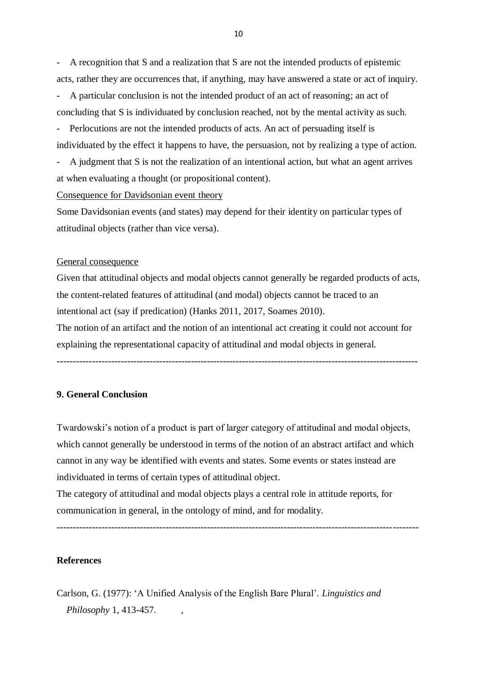- A recognition that S and a realization that S are not the intended products of epistemic acts, rather they are occurrences that, if anything, may have answered a state or act of inquiry.

A particular conclusion is not the intended product of an act of reasoning; an act of concluding that S is individuated by conclusion reached, not by the mental activity as such.

Perlocutions are not the intended products of acts. An act of persuading itself is individuated by the effect it happens to have, the persuasion, not by realizing a type of action.

A judgment that S is not the realization of an intentional action, but what an agent arrives at when evaluating a thought (or propositional content).

#### Consequence for Davidsonian event theory

Some Davidsonian events (and states) may depend for their identity on particular types of attitudinal objects (rather than vice versa).

#### General consequence

Given that attitudinal objects and modal objects cannot generally be regarded products of acts, the content-related features of attitudinal (and modal) objects cannot be traced to an intentional act (say if predication) (Hanks 2011, 2017, Soames 2010).

The notion of an artifact and the notion of an intentional act creating it could not account for explaining the representational capacity of attitudinal and modal objects in general.

-----------------------------------------------------------------------------------------------------------------

#### **9. General Conclusion**

Twardowski's notion of a product is part of larger category of attitudinal and modal objects, which cannot generally be understood in terms of the notion of an abstract artifact and which cannot in any way be identified with events and states. Some events or states instead are individuated in terms of certain types of attitudinal object.

The category of attitudinal and modal objects plays a central role in attitude reports, for communication in general, in the ontology of mind, and for modality.

-----------------------------------------------------------------------------------------------------------------

**References**

## Carlson, G. (1977): 'A Unified Analysis of the English Bare Plural'. *Linguistics and Philosophy* 1, 413-457. ,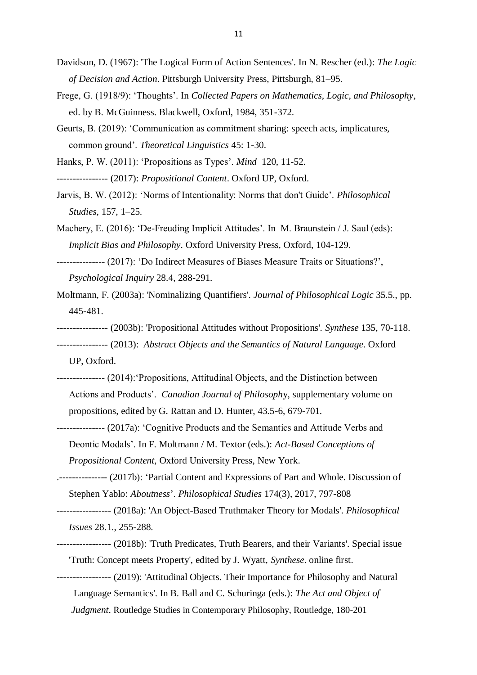- Davidson, D. (1967): 'The Logical Form of Action Sentences'. In N. Rescher (ed.): *The Logic of Decision and Action*. Pittsburgh University Press, Pittsburgh, 81–95.
- Frege, G. (1918/9): 'Thoughts'. In *Collected Papers on Mathematics, Logic, and Philosophy*, ed. by B. McGuinness. Blackwell, Oxford, 1984, 351-372.
- Geurts, B. (2019): 'Communication as commitment sharing: speech acts, implicatures, common ground'. *Theoretical Linguistics* 45: 1-30.
- Hanks, P. W. (2011): 'Propositions as Types'. *Mind* 120, 11-52.
- ---------------- (2017): *Propositional Content*. Oxford UP, Oxford.
- Jarvis, B. W. (2012): 'Norms of Intentionality: Norms that don't Guide'. *Philosophical Studies*, 157, 1–25.
- Machery, E. (2016): 'De-Freuding Implicit Attitudes'. In M. Braunstein / J. Saul (eds): *Implicit Bias and Philosophy*. Oxford University Press, Oxford, 104-129.
- --------------- (2017): 'Do Indirect Measures of Biases Measure Traits or Situations?', *Psychological Inquiry* 28.4, 288-291.
- Moltmann, F. (2003a): 'Nominalizing Quantifiers'. *Journal of Philosophical Logic* 35.5., pp. 445-481.
- ---------------- (2003b): 'Propositional Attitudes without Propositions'. *Synthese* 135, 70-118.
- ---------------- (2013): *Abstract Objects and the Semantics of Natural Language*. Oxford
	- UP, Oxford.
- --------------- (2014):'Propositions, Attitudinal Objects, and the Distinction between Actions and Products'. *Canadian Journal of Philosoph*y, supplementary volume on propositions, edited by G. Rattan and D. Hunter, 43.5-6, 679-701.
- --------------- (2017a): 'Cognitive Products and the Semantics and Attitude Verbs and Deontic Modals'. In F. Moltmann / M. Textor (eds.): *Act-Based Conceptions of Propositional Content*, Oxford University Press, New York.
- .--------------- (2017b): 'Partial Content and Expressions of Part and Whole. Discussion of Stephen Yablo: *Aboutness*'. *Philosophical Studies* 174(3), 2017, 797-808
- ----------------- (2018a): ['An Object-Based Truthmaker Theory for Modals'.](http://friederike-moltmann.com/uploads/phis_12124_Rev3_EV(1).pdf) *Philosophical Issues* 28.1., 255-288.
- ----------------- (2018b): ['Truth Predicates, Truth Bearers, and their Variants'.](http://friederike-moltmann.com/uploads/Truth%20Predicates-May-Synthese-2018.docx) Special issue 'Truth: Concept meets Property', edited by J. Wyatt, *Synthese*. online first.
- ----------------- (2019): 'Attitudinal Objects. Their Importance for Philosophy and Natural Language Semantics'. In B. Ball and C. Schuringa (eds.): *The Act and Object of*